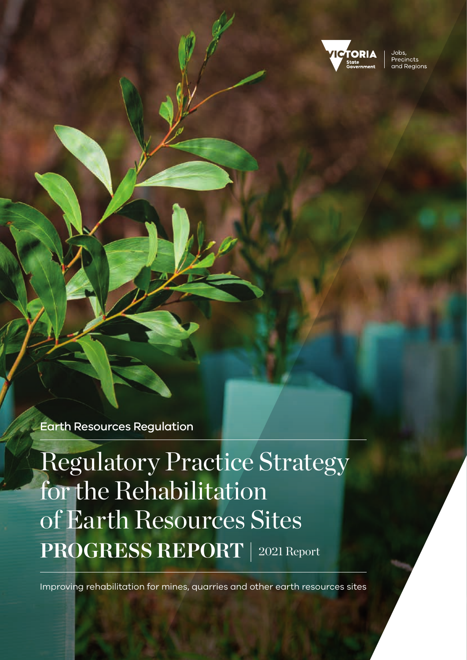

Jobs. Precincts and Regions

Earth Resources Regulation

Regulatory Practice Strategy for the Rehabilitation of Earth Resources Sites **PROGRESS REPORT |** 2021 Report

Improving rehabilitation for mines, quarries and other earth resources sites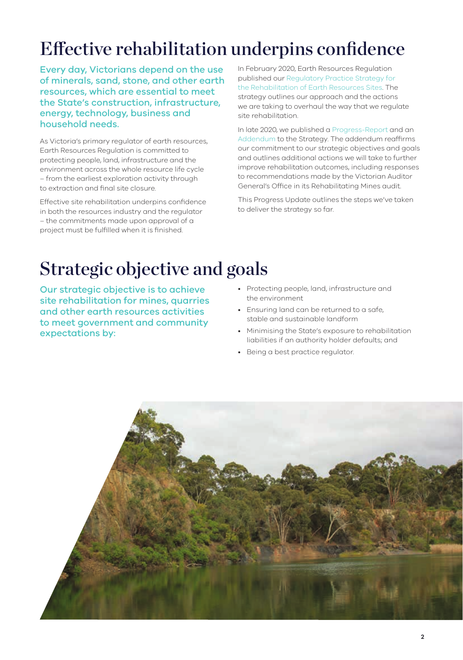# Effective rehabilitation underpins confidence

Every day, Victorians depend on the use of minerals, sand, stone, and other earth resources, which are essential to meet the State's construction, infrastructure, energy, technology, business and household needs.

As Victoria's primary regulator of earth resources, Earth Resources Regulation is committed to protecting people, land, infrastructure and the environment across the whole resource life cycle – from the earliest exploration activity through to extraction and final site closure.

Effective site rehabilitation underpins confidence in both the resources industry and the regulator – the commitments made upon approval of a project must be fulfilled when it is finished.

In February 2020, Earth Resources Regulation published our [Regulatory Practice Strategy for](https://earthresources.vic.gov.au/__data/assets/pdf_file/0018/511920/Earth-Resources-Regulation-Regulatory-Rehabilitation-Strategy.pdf)  the [Rehabilitation of Earth Resources Sites](https://earthresources.vic.gov.au/__data/assets/pdf_file/0018/511920/Earth-Resources-Regulation-Regulatory-Rehabilitation-Strategy.pdf). The strategy outlines our approach and the actions we are taking to overhaul the way that we regulate site rehabilitation.

In late 2020, we published a [Progress‑Report](https://earthresources.vic.gov.au/__data/assets/pdf_file/0005/608324/13244-DJPR-RRV-ERR-Rehabilitation-Strategy-Progress-Report-A4-WEB.pdf) and an [Addendum](https://earthresources.vic.gov.au/__data/assets/pdf_file/0008/608327/13244-DJPR-RRV-ERR-Rehabilitation-Strategy-Addendum-A4-V3.pdf) to the Strategy. The addendum reaffirms our commitment to our strategic objectives and goals and outlines additional actions we will take to further improve rehabilitation outcomes, including responses to recommendations made by the Victorian Auditor General's Office in its Rehabilitating Mines audit.

This Progress Update outlines the steps we've taken to deliver the strategy so far.

# Strategic objective and goals

Our strategic objective is to achieve site rehabilitation for mines, quarries and other earth resources activities to meet government and community expectations by:

- Protecting people, land, infrastructure and the environment
- Ensuring land can be returned to a safe, stable and sustainable landform
- Minimising the State's exposure to rehabilitation liabilities if an authority holder defaults; and
- Being a best practice regulator.

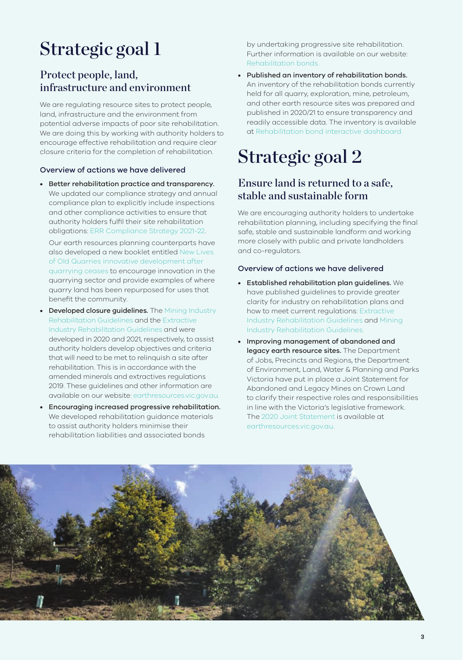# Strategic goal 1

### Protect people, land, infrastructure and environment

We are regulating resource sites to protect people, land, infrastructure and the environment from potential adverse impacts of poor site rehabilitation. We are doing this by working with authority holders to encourage effective rehabilitation and require clear closure criteria for the completion of rehabilitation.

#### Overview of actions we have delivered

• Better rehabilitation practice and transparency. We updated our compliance strategy and annual compliance plan to explicitly include inspections and other compliance activities to ensure that authority holders fulfil their site rehabilitation obligations: [ERR Compliance Strategy 2021‑22.](https://earthresources.vic.gov.au/__data/assets/pdf_file/0020/461315/Compliance-Strategy-final-published-190321.pdf)

Our earth resources planning counterparts have also developed a new booklet entitled [New Lives](https://earthresources.vic.gov.au/projects/extractive-resources-strategy/innovative-sector)  [of Old Quarries innovative development after](https://earthresources.vic.gov.au/projects/extractive-resources-strategy/innovative-sector)  [quarrying ceases](https://earthresources.vic.gov.au/projects/extractive-resources-strategy/innovative-sector) to encourage innovation in the quarrying sector and provide examples of where quarry land has been repurposed for uses that benefit the community.

- Developed closure guidelines. The Mining Industry [Rehabilitation Guidelines](https://earthresources.vic.gov.au/legislation-and-regulations/guidelines-and-codes-of-practice) and the [Extractive](https://earthresources.vic.gov.au/legislation-and-regulations/extractive-industry-rehabilitation)  [Industry Rehabilitation Guidelines](https://earthresources.vic.gov.au/legislation-and-regulations/extractive-industry-rehabilitation) and were developed in 2020 and 2021, respectively, to assist authority holders develop objectives and criteria that will need to be met to relinquish a site after rehabilitation. This is in accordance with the amended minerals and extractives regulations 2019. These guidelines and other information are available on our website: [earthresources.vic.gov.au.](http://earthresources.vic.gov.au)
- Encouraging increased progressive rehabilitation. We developed rehabilitation guidance materials to assist authority holders minimise their rehabilitation liabilities and associated bonds

by undertaking progressive site rehabilitation. Further information is available on our website: [Rehabilitation bonds](https://earthresources.vic.gov.au/legislation-and-regulations/guidelines-and-codes-of-practice/rehabilitation-bonds).

• Published an inventory of rehabilitation bonds. An inventory of the rehabilitation bonds currently held for all quarry, exploration, mine, petroleum, and other earth resource sites was prepared and published in 2020/21 to ensure transparency and readily accessible data. The inventory is available at [Rehabilitation bond interactive dashboard.](https://earthresources.vic.gov.au/community-and-land-use/rehabilitation)

## Strategic goal 2

### Ensure land is returned to a safe, stable and sustainable form

We are encouraging authority holders to undertake rehabilitation planning, including specifying the final safe, stable and sustainable landform and working more closely with public and private landholders and co‑regulators.

#### Overview of actions we have delivered

- Established rehabilitation plan guidelines. We have published guidelines to provide greater clarity for industry on rehabilitation plans and how to meet current regulations: [Extractive](https://earthresources.vic.gov.au/legislation-and-regulations/extractive-industry-rehabilitation)  [Industry Rehabilitation Guidelines](https://earthresources.vic.gov.au/legislation-and-regulations/extractive-industry-rehabilitation) and [Mining](https://earthresources.vic.gov.au/legislation-and-regulations/guidelines-and-codes-of-practice)  [Industry Rehabilitation Guidelines](https://earthresources.vic.gov.au/legislation-and-regulations/guidelines-and-codes-of-practice).
- Improving management of abandoned and legacy earth resource sites. The Department of Jobs, Precincts and Regions, the Department of Environment, Land, Water & Planning and Parks Victoria have put in place a Joint Statement for Abandoned and Legacy Mines on Crown Land to clarify their respective roles and responsibilities in line with the Victoria's legislative framework. The [2020 Joint Statement](https://earthresources.vic.gov.au/__data/assets/pdf_file/0006/614922/13262-DJPR-RRV-DELWP-Abandoned-and-Legacy-Mines-Joint-Statement_WEB-V1.pdf) is available at [earthresources.vic.gov.au.](http://earthresources.vic.gov.au)

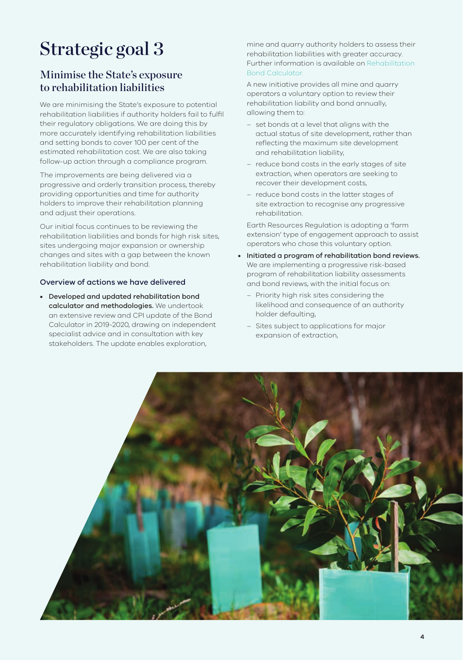# Strategic goal 3

### Minimise the State's exposure to rehabilitation liabilities

We are minimising the State's exposure to potential rehabilitation liabilities if authority holders fail to fulfil their regulatory obligations. We are doing this by more accurately identifying rehabilitation liabilities and setting bonds to cover 100 per cent of the estimated rehabilitation cost. We are also taking follow-up action through a compliance program.

The improvements are being delivered via a progressive and orderly transition process, thereby providing opportunities and time for authority holders to improve their rehabilitation planning and adjust their operations.

Our initial focus continues to be reviewing the rehabilitation liabilities and bonds for high risk sites, sites undergoing major expansion or ownership changes and sites with a gap between the known rehabilitation liability and bond.

#### Overview of actions we have delivered

• Developed and updated rehabilitation bond calculator and methodologies. We undertook an extensive review and CPI update of the Bond Calculator in 2019‑2020, drawing on independent specialist advice and in consultation with key stakeholders. The update enables exploration,

mine and quarry authority holders to assess their rehabilitation liabilities with greater accuracy. Further information is available on [Rehabilitation](https://earthresources.vic.gov.au/legislation-and-regulations/guidelines-and-codes-of-practice/rehabilitation-bonds/bond-calculator)  [Bond Calculator.](https://earthresources.vic.gov.au/legislation-and-regulations/guidelines-and-codes-of-practice/rehabilitation-bonds/bond-calculator)

A new initiative provides all mine and quarry operators a voluntary option to review their rehabilitation liability and bond annually, allowing them to:

- set bonds at a level that aligns with the actual status of site development, rather than reflecting the maximum site development and rehabilitation liability,
- reduce bond costs in the early stages of site extraction, when operators are seeking to recover their development costs,
- reduce bond costs in the latter stages of site extraction to recognise any progressive rehabilitation.

Earth Resources Regulation is adopting a 'farm extension' type of engagement approach to assist operators who chose this voluntary option.

- Initiated a program of rehabilitation bond reviews. We are implementing a progressive risk-based program of rehabilitation liability assessments and bond reviews, with the initial focus on:
	- Priority high risk sites considering the likelihood and consequence of an authority holder defaulting,
	- Sites subject to applications for major expansion of extraction,

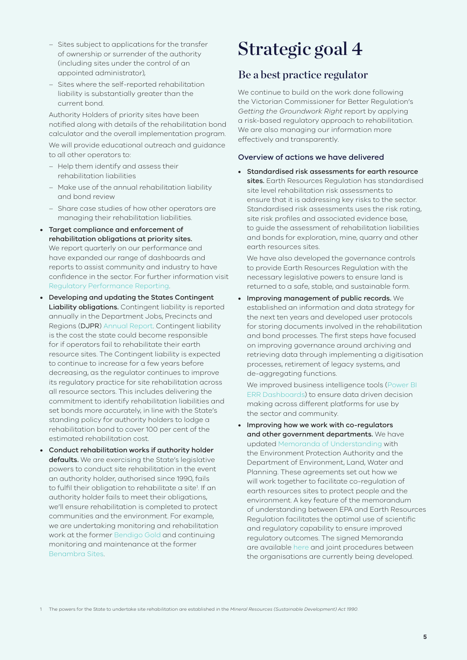- Sites subject to applications for the transfer of ownership or surrender of the authority (including sites under the control of an appointed administrator),
- Sites where the self‑reported rehabilitation liability is substantially greater than the current bond.

Authority Holders of priority sites have been notified along with details of the rehabilitation bond calculator and the overall implementation program. We will provide educational outreach and guidance to all other operators to:

- Help them identify and assess their rehabilitation liabilities
- Make use of the annual rehabilitation liability and bond review
- Share case studies of how other operators are managing their rehabilitation liabilities.
- Target compliance and enforcement of rehabilitation obligations at priority sites. We report quarterly on our performance and have expanded our range of dashboards and reports to assist community and industry to have confidence in the sector. For further information visit [Regulatory Performance Reporting.](https://earthresources.vic.gov.au/legislation-and-regulations/regulator-performance-reporting)
- Developing and updating the States Contingent Liability obligations. Contingent liability is reported annually in the Department Jobs, Precincts and Regions (DJPR) [Annual Report.](https://djpr.vic.gov.au/about-us/publications/annual-reports) Contingent liability is the cost the state could become responsible for if operators fail to rehabilitate their earth resource sites. The Contingent liability is expected to continue to increase for a few years before decreasing, as the regulator continues to improve its regulatory practice for site rehabilitation across all resource sectors. This includes delivering the commitment to identify rehabilitation liabilities and set bonds more accurately, in line with the State's standing policy for authority holders to lodge a rehabilitation bond to cover 100 per cent of the estimated rehabilitation cost.
- Conduct rehabilitation works if authority holder defaults. We are exercising the State's legislative powers to conduct site rehabilitation in the event an authority holder, authorised since 1990, fails to fulfil their obligation to rehabilitate a site<sup>1</sup>. If an authority holder fails to meet their obligations, we'll ensure rehabilitation is completed to protect communities and the environment. For example, we are undertaking monitoring and rehabilitation work at the former [Bendigo Gold](https://earthresources.vic.gov.au/community-and-land-use/key-site-updates/bendigo-gold) and continuing monitoring and maintenance at the former [Benambra Sites](https://earthresources.vic.gov.au/about-us/news/rehabilitation-resumes-at-former-mine-site).

## Strategic goal 4

### Be a best practice regulator

We continue to build on the work done following the Victorian Commissioner for Better Regulation's *Getting the Groundwork Right* report by applying a risk‑based regulatory approach to rehabilitation. We are also managing our information more effectively and transparently.

#### Overview of actions we have delivered

• Standardised risk assessments for earth resource sites. Earth Resources Regulation has standardised site level rehabilitation risk assessments to ensure that it is addressing key risks to the sector. Standardised risk assessments uses the risk rating, site risk profiles and associated evidence base, to guide the assessment of rehabilitation liabilities and bonds for exploration, mine, quarry and other earth resources sites.

We have also developed the governance controls to provide Earth Resources Regulation with the necessary legislative powers to ensure land is returned to a safe, stable, and sustainable form.

• Improving management of public records. We established an information and data strategy for the next ten years and developed user protocols for storing documents involved in the rehabilitation and bond processes. The first steps have focused on improving governance around archiving and retrieving data through implementing a digitisation processes, retirement of legacy systems, and de‑aggregating functions.

We improved business intelligence tools [\(Power BI](https://earthresources.vic.gov.au/legislation-and-regulations/regulator-performance-reporting)  [ERR Dashboards](https://earthresources.vic.gov.au/legislation-and-regulations/regulator-performance-reporting)) to ensure data driven decision making across different platforms for use by the sector and community.

• Improving how we work with co-regulators and other government departments. We have updated [Memoranda of Understanding](https://earthresources.vic.gov.au/about-us/our-role/earth-resources-regulation/memoranda-of-understanding) with the Environment Protection Authority and the Department of Environment, Land, Water and Planning. These agreements set out how we will work together to facilitate co-regulation of earth resources sites to protect people and the environment. A key feature of the memorandum of understanding between EPA and Earth Resources Regulation facilitates the optimal use of scientific and regulatory capability to ensure improved regulatory outcomes. The signed Memoranda are available [here](https://earthresources.vic.gov.au/about-us/our-role/earth-resources-regulation/memoranda-of-understanding) and joint procedures between the organisations are currently being developed.

1 The powers for the State to undertake site rehabilitation are established in the *Mineral Resources (Sustainable Development) Act 1990*.